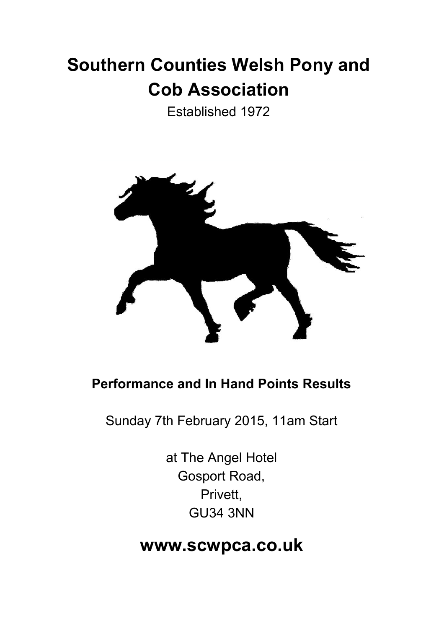# **Southern Counties Welsh Pony and Cob Association**

Established 1972



## **Performance and In Hand Points Results**

Sunday 7th February 2015, 11am Start

at The Angel Hotel Gosport Road, Privett, GU34 3NN

# **www.scwpca.co.uk**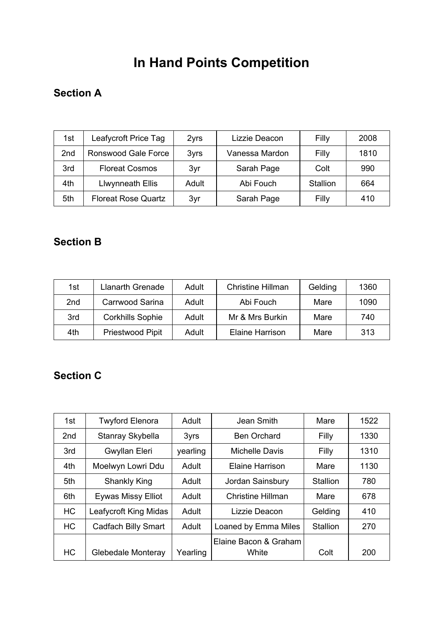# **In Hand Points Competition**

### **Section A**

| 1st | Leafycroft Price Tag       | 2yrs  | Lizzie Deacon  | Filly    | 2008 |
|-----|----------------------------|-------|----------------|----------|------|
| 2nd | Ronswood Gale Force        | 3yrs  | Vanessa Mardon | Filly    | 1810 |
| 3rd | <b>Floreat Cosmos</b>      | 3yr   | Sarah Page     | Colt     | 990  |
| 4th | Llwynneath Ellis           | Adult | Abi Fouch      | Stallion | 664  |
| 5th | <b>Floreat Rose Quartz</b> | 3yr   | Sarah Page     | Filly    | 410  |

#### **Section B**

| 1st             | Llanarth Grenade        | Adult | <b>Christine Hillman</b> | Gelding | 1360 |
|-----------------|-------------------------|-------|--------------------------|---------|------|
| 2 <sub>nd</sub> | Carrwood Sarina         | Adult | Abi Fouch                | Mare    | 1090 |
| 3rd             | <b>Corkhills Sophie</b> | Adult | Mr & Mrs Burkin          | Mare    | 740  |
| 4th             | Priestwood Pipit        | Adult | Elaine Harrison          | Mare    | 313  |

#### **Section C**

| 1st             | <b>Twyford Elenora</b>     | Adult    | Jean Smith            | Mare            | 1522 |
|-----------------|----------------------------|----------|-----------------------|-----------------|------|
| 2 <sub>nd</sub> | Stanray Skybella           | 3yrs     | <b>Ben Orchard</b>    | Filly           | 1330 |
| 3rd             | Gwyllan Eleri              | yearling | <b>Michelle Davis</b> | Filly           | 1310 |
| 4th             | Moelwyn Lowri Ddu          | Adult    | Elaine Harrison       | Mare            | 1130 |
| 5th             | <b>Shankly King</b>        | Adult    | Jordan Sainsbury      | <b>Stallion</b> | 780  |
| 6th             | <b>Eywas Missy Elliot</b>  | Adult    | Christine Hillman     | Mare            | 678  |
| <b>HC</b>       | Leafycroft King Midas      | Adult    | Lizzie Deacon         | Gelding         | 410  |
| <b>HC</b>       | <b>Cadfach Billy Smart</b> | Adult    | Loaned by Emma Miles  | Stallion        | 270  |
|                 |                            |          | Elaine Bacon & Graham |                 |      |
| <b>HC</b>       | Glebedale Monteray         | Yearling | White                 | Colt            | 200  |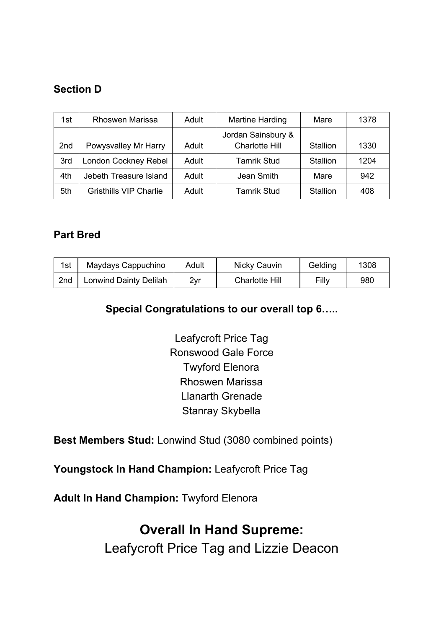#### **Section D**

| 1st             | Rhoswen Marissa               | Adult | <b>Martine Harding</b> | Mare     | 1378 |
|-----------------|-------------------------------|-------|------------------------|----------|------|
|                 |                               |       | Jordan Sainsbury &     |          |      |
| 2 <sub>nd</sub> | Powysvalley Mr Harry          | Adult | <b>Charlotte Hill</b>  | Stallion | 1330 |
| 3rd             | London Cockney Rebel          | Adult | <b>Tamrik Stud</b>     | Stallion | 1204 |
| 4th             | Jebeth Treasure Island        | Adult | Jean Smith             | Mare     | 942  |
| 5th             | <b>Gristhills VIP Charlie</b> | Adult | <b>Tamrik Stud</b>     | Stallion | 408  |

#### **Part Bred**

| 1st             | Maydays Cappuchino            | Adult | Nicky Cauvin          | Gelding | 1308 |
|-----------------|-------------------------------|-------|-----------------------|---------|------|
| 2 <sub>nd</sub> | <b>Lonwind Dainty Delilah</b> | 2vr   | <b>Charlotte Hill</b> | Filly   | 980  |

#### **Special Congratulations to our overall top 6…..**

Leafycroft Price Tag Ronswood Gale Force Twyford Elenora Rhoswen Marissa Llanarth Grenade Stanray Skybella

**Best Members Stud:**Lonwind Stud (3080 combined points)

**Youngstock In Hand Champion:**Leafycroft Price Tag

**Adult In Hand Champion:**Twyford Elenora

## **Overall In Hand Supreme:**

Leafycroft Price Tag and Lizzie Deacon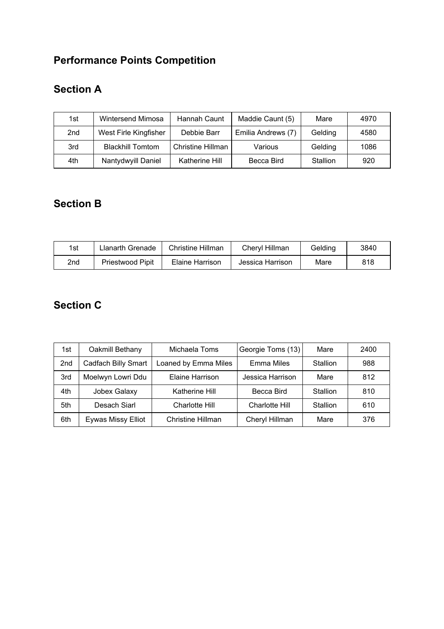## **Performance Points Competition**

## **Section A**

| 1st             | Wintersend Mimosa       | Hannah Caunt      | Maddie Caunt (5)   | Mare     | 4970 |
|-----------------|-------------------------|-------------------|--------------------|----------|------|
| 2 <sub>nd</sub> | West Firle Kingfisher   | Debbie Barr       | Emilia Andrews (7) | Gelding  | 4580 |
| 3rd             | <b>Blackhill Tomtom</b> | Christine Hillman | Various            | Gelding  | 1086 |
| 4th             | Nantydwyill Daniel      | Katherine Hill    | Becca Bird         | Stallion | 920  |

### **Section B**

| 1st | Llanarth Grenade | Christine Hillman | <b>Chervl Hillman</b> | Gelding | 3840 |
|-----|------------------|-------------------|-----------------------|---------|------|
| 2nd | Priestwood Pipit | Elaine Harrison   | Jessica Harrison      | Mare    | 818  |

#### **Section C**

| 1st             | Oakmill Bethany     | Michaela Toms            | Georgie Toms (13) | Mare            | 2400 |
|-----------------|---------------------|--------------------------|-------------------|-----------------|------|
| 2 <sub>nd</sub> | Cadfach Billy Smart | Loaned by Emma Miles     | Emma Miles        | <b>Stallion</b> | 988  |
| 3rd             | Moelwyn Lowri Ddu   | Elaine Harrison          | Jessica Harrison  | Mare            | 812  |
| 4th             | Jobex Galaxy        | Katherine Hill           | Becca Bird        | Stallion        | 810  |
| 5th             | Desach Siarl        | Charlotte Hill           | Charlotte Hill    | Stallion        | 610  |
| 6th             | Eywas Missy Elliot  | <b>Christine Hillman</b> | Cheryl Hillman    | Mare            | 376  |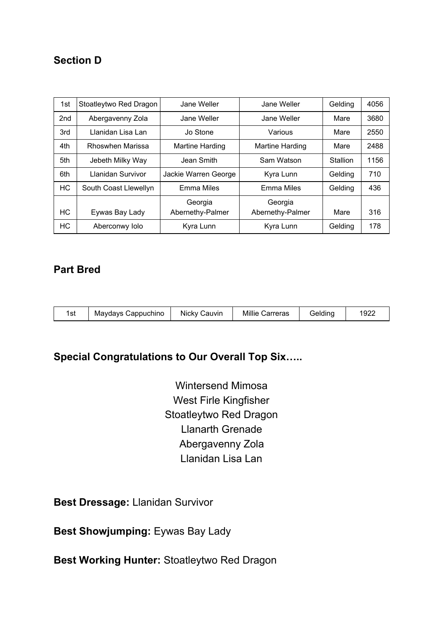#### **Section D**

| 1st             | Stoatleytwo Red Dragon | Jane Weller            | Jane Weller            | Gelding  | 4056 |
|-----------------|------------------------|------------------------|------------------------|----------|------|
| 2 <sub>nd</sub> | Abergavenny Zola       | Jane Weller            | Jane Weller            | Mare     | 3680 |
| 3rd             | Llanidan Lisa Lan      | Jo Stone               | Various                | Mare     | 2550 |
| 4th             | Rhoswhen Marissa       | <b>Martine Harding</b> | <b>Martine Harding</b> | Mare     | 2488 |
| 5th             | Jebeth Milky Way       | Jean Smith             | Sam Watson             | Stallion | 1156 |
| 6th             | Llanidan Survivor      | Jackie Warren George   | Kyra Lunn              | Gelding  | 710  |
| <b>HC</b>       | South Coast Llewellyn  | Emma Miles             | <b>Emma Miles</b>      | Gelding  | 436  |
|                 |                        | Georgia                | Georgia                |          |      |
| <b>HC</b>       | Eywas Bay Lady         | Abernethy-Palmer       | Abernethy-Palmer       | Mare     | 316  |
| НC              | Aberconwy Iolo         | Kyra Lunn              | Kyra Lunn              | Gelding  | 178  |

#### **Part Bred**

| 1922<br>Millie<br><b>Gelding</b><br>Nicky Cauvin<br>Maydays Cappuchino<br>1st<br>Carreras |
|-------------------------------------------------------------------------------------------|
|-------------------------------------------------------------------------------------------|

#### **Special Congratulations to Our Overall Top Six…..**

Wintersend Mimosa West Firle Kingfisher Stoatleytwo Red Dragon Llanarth Grenade Abergavenny Zola Llanidan Lisa Lan

**Best Dressage:** Llanidan Survivor

**Best Showjumping:** Eywas Bay Lady

**Best Working Hunter:**Stoatleytwo Red Dragon